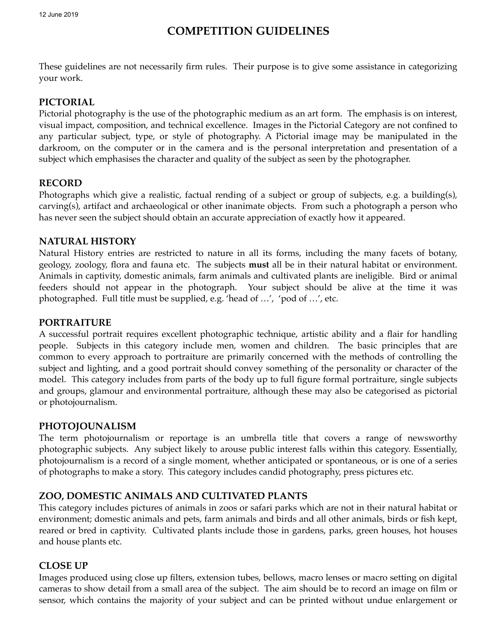# **COMPETITION GUIDELINES**

These guidelines are not necessarily firm rules. Their purpose is to give some assistance in categorizing your work.

## **PICTORIAL**

Pictorial photography is the use of the photographic medium as an art form. The emphasis is on interest, visual impact, composition, and technical excellence. Images in the Pictorial Category are not confined to any particular subject, type, or style of photography. A Pictorial image may be manipulated in the darkroom, on the computer or in the camera and is the personal interpretation and presentation of a subject which emphasises the character and quality of the subject as seen by the photographer.

### **RECORD**

Photographs which give a realistic, factual rending of a subject or group of subjects, e.g. a building(s), carving(s), artifact and archaeological or other inanimate objects. From such a photograph a person who has never seen the subject should obtain an accurate appreciation of exactly how it appeared.

### **NATURAL HISTORY**

Natural History entries are restricted to nature in all its forms, including the many facets of botany, geology, zoology, flora and fauna etc. The subjects **must** all be in their natural habitat or environment. Animals in captivity, domestic animals, farm animals and cultivated plants are ineligible. Bird or animal feeders should not appear in the photograph. Your subject should be alive at the time it was photographed. Full title must be supplied, e.g. 'head of …', 'pod of …', etc.

### **PORTRAITURE**

A successful portrait requires excellent photographic technique, artistic ability and a flair for handling people. Subjects in this category include men, women and children. The basic principles that are common to every approach to portraiture are primarily concerned with the methods of controlling the subject and lighting, and a good portrait should convey something of the personality or character of the model. This category includes from parts of the body up to full figure formal portraiture, single subjects and groups, glamour and environmental portraiture, although these may also be categorised as pictorial or photojournalism.

### **PHOTOJOUNALISM**

The term photojournalism or reportage is an umbrella title that covers a range of newsworthy photographic subjects. Any subject likely to arouse public interest falls within this category. Essentially, photojournalism is a record of a single moment, whether anticipated or spontaneous, or is one of a series of photographs to make a story. This category includes candid photography, press pictures etc.

### **ZOO, DOMESTIC ANIMALS AND CULTIVATED PLANTS**

This category includes pictures of animals in zoos or safari parks which are not in their natural habitat or environment; domestic animals and pets, farm animals and birds and all other animals, birds or fish kept, reared or bred in captivity. Cultivated plants include those in gardens, parks, green houses, hot houses and house plants etc.

### **CLOSE UP**

Images produced using close up filters, extension tubes, bellows, macro lenses or macro setting on digital cameras to show detail from a small area of the subject. The aim should be to record an image on film or sensor, which contains the majority of your subject and can be printed without undue enlargement or